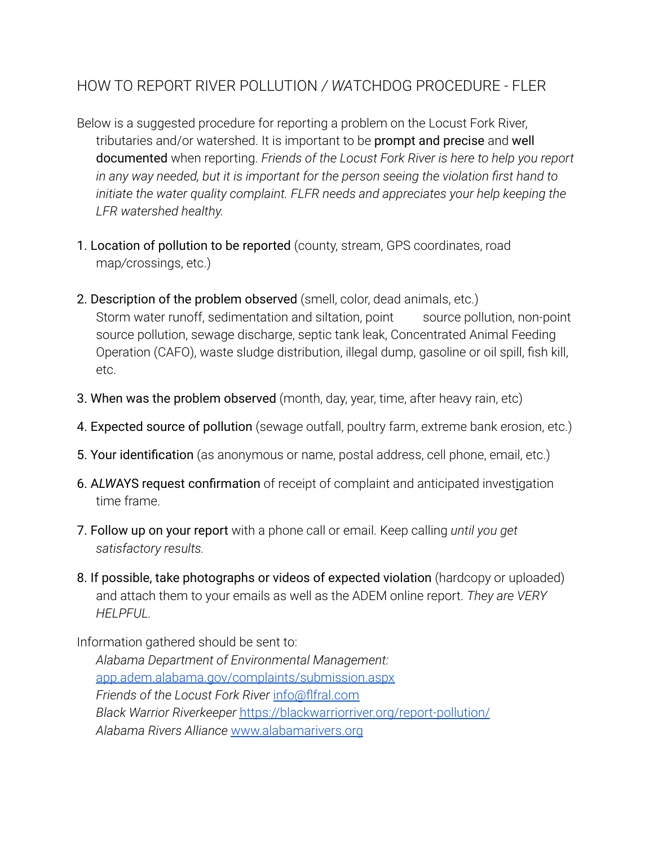## HOW TO REPORT RIVER POLLUTION */ WA*TCHDOG PROCEDURE - FLER

- Below is a suggested procedure for reporting a problem on the Locust Fork River, tributaries and/or watershed. It is important to be prompt and precise and well documented when reporting. *Friends of the Locust Fork River is here to help you report in any way needed, but it is important for the person seeing the violation first hand to initiate the water quality complaint. FLFR needs and appreciates your help keeping the LFR watershed healthy.*
- 1. Location of pollution to be reported (county, stream, GPS coordinates, road map*/*crossings, etc.)
- 2. Description of the problem observed (smell, color, dead animals, etc.) Storm water runoff, sedimentation and siltation, point source pollution, non-point source pollution, sewage discharge, septic tank leak, Concentrated Animal Feeding Operation (CAFO), waste sludge distribution, illegal dump, gasoline or oil spill, fish kill, etc.
- 3. When was the problem observed (month, day, year, time, after heavy rain, etc)
- 4. Expected source of pollution (sewage outfall, poultry farm, extreme bank erosion, etc.)
- 5. Your identification (as anonymous or name, postal address, cell phone, email, etc.)
- 6. A*LW*AYS request confirmation of receipt of complaint and anticipated investigation time frame.
- 7. Follow up on your report with a phone call or email. Keep calling *until you get satisfactory results.*
- 8. If possible, take photographs or videos of expected violation (hardcopy or uploaded) and attach them to your emails as well as the ADEM online report. *They are VERY HELPFUL.*

Information gathered should be sent to: *Alabama Department of Environmental Management:* [app.adem.alabama.gov/complaints/submission.aspx](http://app.adem.alabama.gov/complaints/submission.aspx) *Friends of the Locust Fork River* [info@flfral.com](mailto:info@flfral.com) *Black Warrior Riverkeeper* <https://blackwarriorriver.org/report-pollution/> *Alabama Rivers Alliance* [www.alabamarivers.org](http://www.alabamarivers.org)